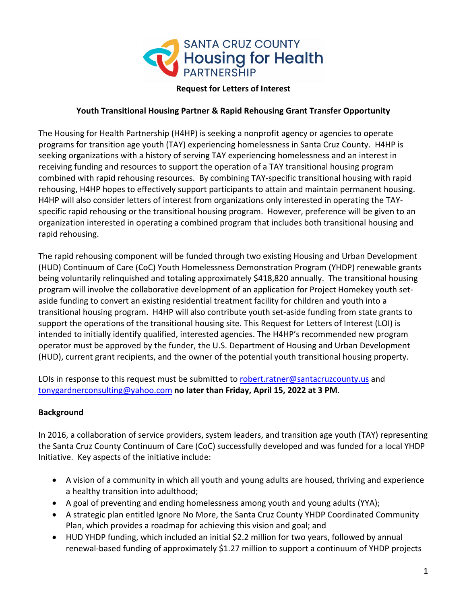

#### **Request for Letters of Interest**

#### **Youth Transitional Housing Partner & Rapid Rehousing Grant Transfer Opportunity**

The Housing for Health Partnership (H4HP) is seeking a nonprofit agency or agencies to operate programs for transition age youth (TAY) experiencing homelessness in Santa Cruz County. H4HP is seeking organizations with a history of serving TAY experiencing homelessness and an interest in receiving funding and resources to support the operation of a TAY transitional housing program combined with rapid rehousing resources. By combining TAY-specific transitional housing with rapid rehousing, H4HP hopes to effectively support participants to attain and maintain permanent housing. H4HP will also consider letters of interest from organizations only interested in operating the TAYspecific rapid rehousing or the transitional housing program. However, preference will be given to an organization interested in operating a combined program that includes both transitional housing and rapid rehousing.

The rapid rehousing component will be funded through two existing Housing and Urban Development (HUD) Continuum of Care (CoC) Youth Homelessness Demonstration Program (YHDP) renewable grants being voluntarily relinquished and totaling approximately \$418,820 annually. The transitional housing program will involve the collaborative development of an application for Project Homekey youth setaside funding to convert an existing residential treatment facility for children and youth into a transitional housing program. H4HP will also contribute youth set-aside funding from state grants to support the operations of the transitional housing site. This Request for Letters of Interest (LOI) is intended to initially identify qualified, interested agencies. The H4HP's recommended new program operator must be approved by the funder, the U.S. Department of Housing and Urban Development (HUD), current grant recipients, and the owner of the potential youth transitional housing property.

LOIs in response to this request must be submitted to [robert.ratner@santacruzcounty.us](mailto:robert.ratner@santacruzcounty.us) and [tonygardnerconsulting@yahoo.com](mailto:tonygardnerconsulting@yahoo.com) **no later than Friday, April 15, 2022 at 3 PM**.

#### **Background**

In 2016, a collaboration of service providers, system leaders, and transition age youth (TAY) representing the Santa Cruz County Continuum of Care (CoC) successfully developed and was funded for a local YHDP Initiative. Key aspects of the initiative include:

- A vision of a community in which all youth and young adults are housed, thriving and experience a healthy transition into adulthood;
- A goal of preventing and ending homelessness among youth and young adults (YYA);
- A strategic plan entitled Ignore No More, the Santa Cruz County YHDP Coordinated Community Plan, which provides a roadmap for achieving this vision and goal; and
- HUD YHDP funding, which included an initial \$2.2 million for two years, followed by annual renewal-based funding of approximately \$1.27 million to support a continuum of YHDP projects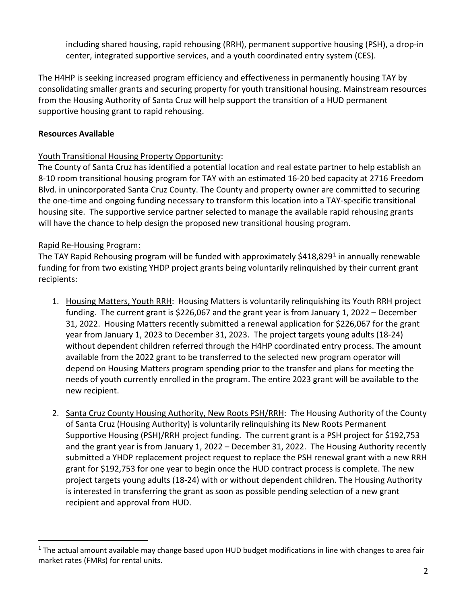including shared housing, rapid rehousing (RRH), permanent supportive housing (PSH), a drop-in center, integrated supportive services, and a youth coordinated entry system (CES).

The H4HP is seeking increased program efficiency and effectiveness in permanently housing TAY by consolidating smaller grants and securing property for youth transitional housing. Mainstream resources from the Housing Authority of Santa Cruz will help support the transition of a HUD permanent supportive housing grant to rapid rehousing.

### **Resources Available**

### Youth Transitional Housing Property Opportunity:

The County of Santa Cruz has identified a potential location and real estate partner to help establish an 8-10 room transitional housing program for TAY with an estimated 16-20 bed capacity at 2716 Freedom Blvd. in unincorporated Santa Cruz County. The County and property owner are committed to securing the one-time and ongoing funding necessary to transform this location into a TAY-specific transitional housing site. The supportive service partner selected to manage the available rapid rehousing grants will have the chance to help design the proposed new transitional housing program.

### Rapid Re-Housing Program:

The TAY Rapid Rehousing program will be funded with approximately \$4[1](#page-1-0)8,829<sup>1</sup> in annually renewable funding for from two existing YHDP project grants being voluntarily relinquished by their current grant recipients:

- 1. Housing Matters, Youth RRH: Housing Matters is voluntarily relinquishing its Youth RRH project funding. The current grant is \$226,067 and the grant year is from January 1, 2022 – December 31, 2022. Housing Matters recently submitted a renewal application for \$226,067 for the grant year from January 1, 2023 to December 31, 2023. The project targets young adults (18-24) without dependent children referred through the H4HP coordinated entry process. The amount available from the 2022 grant to be transferred to the selected new program operator will depend on Housing Matters program spending prior to the transfer and plans for meeting the needs of youth currently enrolled in the program. The entire 2023 grant will be available to the new recipient.
- 2. Santa Cruz County Housing Authority, New Roots PSH/RRH: The Housing Authority of the County of Santa Cruz (Housing Authority) is voluntarily relinquishing its New Roots Permanent Supportive Housing (PSH)/RRH project funding. The current grant is a PSH project for \$192,753 and the grant year is from January 1, 2022 – December 31, 2022. The Housing Authority recently submitted a YHDP replacement project request to replace the PSH renewal grant with a new RRH grant for \$192,753 for one year to begin once the HUD contract process is complete. The new project targets young adults (18-24) with or without dependent children. The Housing Authority is interested in transferring the grant as soon as possible pending selection of a new grant recipient and approval from HUD.

<span id="page-1-0"></span><sup>&</sup>lt;sup>1</sup> The actual amount available may change based upon HUD budget modifications in line with changes to area fair market rates (FMRs) for rental units.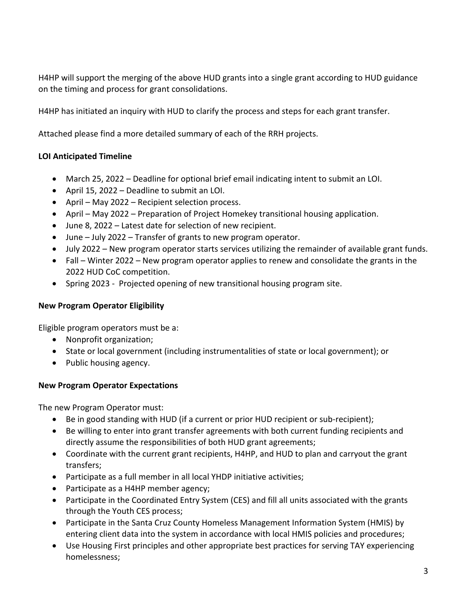H4HP will support the merging of the above HUD grants into a single grant according to HUD guidance on the timing and process for grant consolidations.

H4HP has initiated an inquiry with HUD to clarify the process and steps for each grant transfer.

Attached please find a more detailed summary of each of the RRH projects.

### **LOI Anticipated Timeline**

- March 25, 2022 Deadline for optional brief email indicating intent to submit an LOI.
- April 15, 2022 Deadline to submit an LOI.
- April May 2022 Recipient selection process.
- April May 2022 Preparation of Project Homekey transitional housing application.
- June 8, 2022 Latest date for selection of new recipient.
- June July 2022 Transfer of grants to new program operator.
- July 2022 New program operator starts services utilizing the remainder of available grant funds.
- Fall Winter 2022 New program operator applies to renew and consolidate the grants in the 2022 HUD CoC competition.
- Spring 2023 Projected opening of new transitional housing program site.

#### **New Program Operator Eligibility**

Eligible program operators must be a:

- Nonprofit organization;
- State or local government (including instrumentalities of state or local government); or
- Public housing agency.

# **New Program Operator Expectations**

The new Program Operator must:

- Be in good standing with HUD (if a current or prior HUD recipient or sub-recipient);
- Be willing to enter into grant transfer agreements with both current funding recipients and directly assume the responsibilities of both HUD grant agreements;
- Coordinate with the current grant recipients, H4HP, and HUD to plan and carryout the grant transfers;
- Participate as a full member in all local YHDP initiative activities;
- Participate as a H4HP member agency;
- Participate in the Coordinated Entry System (CES) and fill all units associated with the grants through the Youth CES process;
- Participate in the Santa Cruz County Homeless Management Information System (HMIS) by entering client data into the system in accordance with local HMIS policies and procedures;
- Use Housing First principles and other appropriate best practices for serving TAY experiencing homelessness;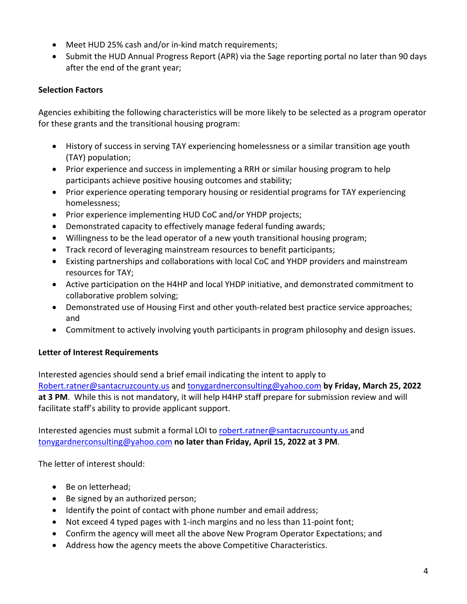- Meet HUD 25% cash and/or in-kind match requirements;
- Submit the HUD Annual Progress Report (APR) via the Sage reporting portal no later than 90 days after the end of the grant year;

### **Selection Factors**

Agencies exhibiting the following characteristics will be more likely to be selected as a program operator for these grants and the transitional housing program:

- History of success in serving TAY experiencing homelessness or a similar transition age youth (TAY) population;
- Prior experience and success in implementing a RRH or similar housing program to help participants achieve positive housing outcomes and stability;
- Prior experience operating temporary housing or residential programs for TAY experiencing homelessness;
- Prior experience implementing HUD CoC and/or YHDP projects;
- Demonstrated capacity to effectively manage federal funding awards;
- Willingness to be the lead operator of a new youth transitional housing program;
- Track record of leveraging mainstream resources to benefit participants;
- Existing partnerships and collaborations with local CoC and YHDP providers and mainstream resources for TAY;
- Active participation on the H4HP and local YHDP initiative, and demonstrated commitment to collaborative problem solving;
- Demonstrated use of Housing First and other youth-related best practice service approaches; and
- Commitment to actively involving youth participants in program philosophy and design issues.

# **Letter of Interest Requirements**

Interested agencies should send a brief email indicating the intent to apply to [Robert.ratner@santacruzcounty.us](mailto:Robert.ratner@santacruzcounty.us) and [tonygardnerconsulting@yahoo.com](mailto:tonygardnerconsulting@yahoo.com) **by Friday, March 25, 2022 at 3 PM**. While this is not mandatory, it will help H4HP staff prepare for submission review and will facilitate staff's ability to provide applicant support.

Interested agencies must submit a formal LOI to [robert.ratner@santacruzcounty.us](mailto:robert.ratner@santacruzcounty.us) and [tonygardnerconsulting@yahoo.com](mailto:tonygardnerconsulting@yahoo.com) **no later than Friday, April 15, 2022 at 3 PM**.

The letter of interest should:

- Be on letterhead;
- Be signed by an authorized person;
- Identify the point of contact with phone number and email address;
- Not exceed 4 typed pages with 1-inch margins and no less than 11-point font;
- Confirm the agency will meet all the above New Program Operator Expectations; and
- Address how the agency meets the above Competitive Characteristics.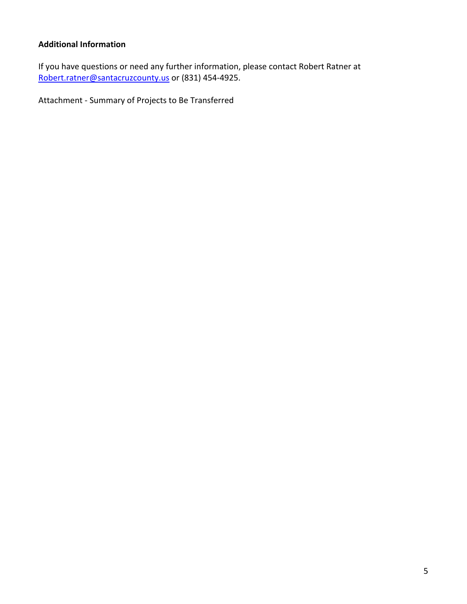### **Additional Information**

If you have questions or need any further information, please contact Robert Ratner at [Robert.ratner@santacruzcounty.us](mailto:Robert.ratner@santacruzcounty.us) or (831) 454-4925.

Attachment - Summary of Projects to Be Transferred